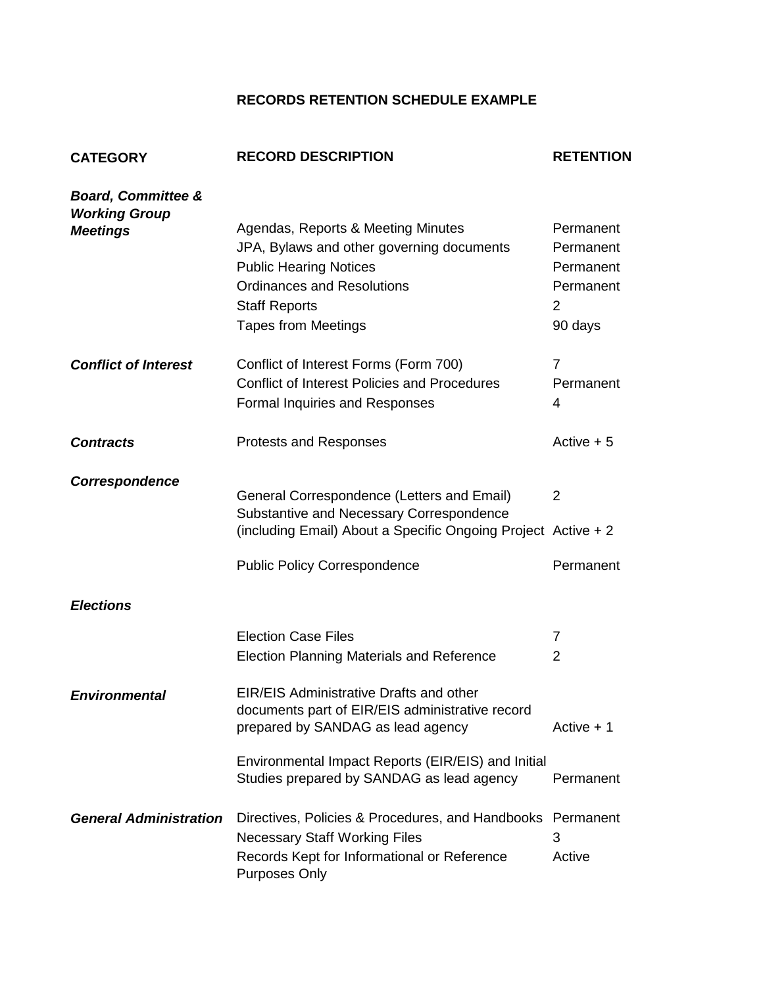## **RECORDS RETENTION SCHEDULE EXAMPLE**

| <b>CATEGORY</b>                                       | <b>RECORD DESCRIPTION</b>                                                                                                                                                                                   | <b>RETENTION</b>                                                 |
|-------------------------------------------------------|-------------------------------------------------------------------------------------------------------------------------------------------------------------------------------------------------------------|------------------------------------------------------------------|
| <b>Board, Committee &amp;</b><br><b>Working Group</b> |                                                                                                                                                                                                             |                                                                  |
| <b>Meetings</b>                                       | Agendas, Reports & Meeting Minutes<br>JPA, Bylaws and other governing documents<br><b>Public Hearing Notices</b><br><b>Ordinances and Resolutions</b><br><b>Staff Reports</b><br><b>Tapes from Meetings</b> | Permanent<br>Permanent<br>Permanent<br>Permanent<br>2<br>90 days |
| <b>Conflict of Interest</b>                           | Conflict of Interest Forms (Form 700)<br><b>Conflict of Interest Policies and Procedures</b><br>Formal Inquiries and Responses                                                                              | $\overline{7}$<br>Permanent<br>4                                 |
| <b>Contracts</b>                                      | Protests and Responses                                                                                                                                                                                      | Active $+5$                                                      |
| Correspondence                                        | General Correspondence (Letters and Email)<br>Substantive and Necessary Correspondence<br>(including Email) About a Specific Ongoing Project Active + 2                                                     | $\overline{2}$                                                   |
|                                                       | <b>Public Policy Correspondence</b>                                                                                                                                                                         | Permanent                                                        |
| <b>Elections</b>                                      |                                                                                                                                                                                                             |                                                                  |
|                                                       | <b>Election Case Files</b><br><b>Election Planning Materials and Reference</b>                                                                                                                              | 7<br>$\overline{2}$                                              |
| <b>Environmental</b>                                  | <b>EIR/EIS Administrative Drafts and other</b><br>documents part of EIR/EIS administrative record<br>prepared by SANDAG as lead agency                                                                      | Active + 1                                                       |
|                                                       | Environmental Impact Reports (EIR/EIS) and Initial<br>Studies prepared by SANDAG as lead agency                                                                                                             | Permanent                                                        |
| <b>General Administration</b>                         | Directives, Policies & Procedures, and Handbooks<br><b>Necessary Staff Working Files</b><br>Records Kept for Informational or Reference<br><b>Purposes Only</b>                                             | Permanent<br>3<br>Active                                         |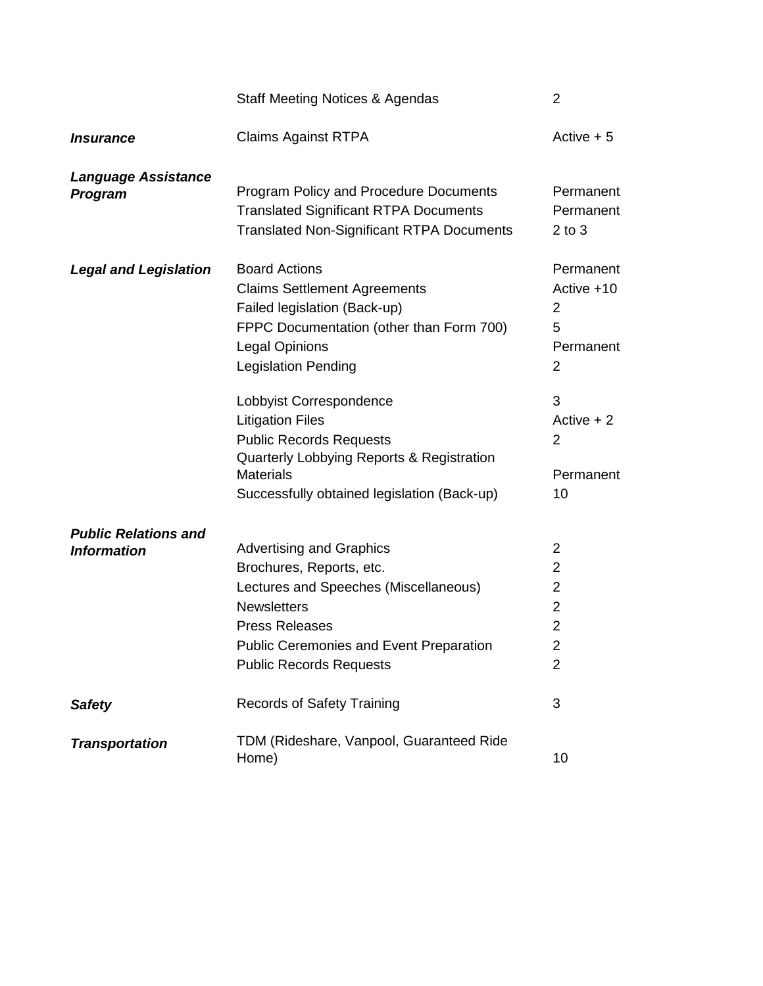|                                                   | <b>Staff Meeting Notices &amp; Agendas</b>                                                                                                                                                                                              | $\overline{2}$                                                                                                |
|---------------------------------------------------|-----------------------------------------------------------------------------------------------------------------------------------------------------------------------------------------------------------------------------------------|---------------------------------------------------------------------------------------------------------------|
| <i><b>Insurance</b></i>                           | <b>Claims Against RTPA</b>                                                                                                                                                                                                              | Active $+5$                                                                                                   |
| <b>Language Assistance</b><br><b>Program</b>      | Program Policy and Procedure Documents<br><b>Translated Significant RTPA Documents</b><br><b>Translated Non-Significant RTPA Documents</b>                                                                                              | Permanent<br>Permanent<br>$2$ to $3$                                                                          |
| <b>Legal and Legislation</b>                      | <b>Board Actions</b><br><b>Claims Settlement Agreements</b><br>Failed legislation (Back-up)<br>FPPC Documentation (other than Form 700)<br><b>Legal Opinions</b><br><b>Legislation Pending</b><br>Lobbyist Correspondence               | Permanent<br>Active +10<br>2<br>5<br>Permanent<br>2<br>3                                                      |
|                                                   | <b>Litigation Files</b><br><b>Public Records Requests</b><br>Quarterly Lobbying Reports & Registration<br><b>Materials</b><br>Successfully obtained legislation (Back-up)                                                               | Active $+2$<br>2<br>Permanent<br>10                                                                           |
| <b>Public Relations and</b><br><b>Information</b> | <b>Advertising and Graphics</b><br>Brochures, Reports, etc.<br>Lectures and Speeches (Miscellaneous)<br><b>Newsletters</b><br><b>Press Releases</b><br><b>Public Ceremonies and Event Preparation</b><br><b>Public Records Requests</b> | 2<br>$\overline{2}$<br>$\overline{2}$<br>$\overline{2}$<br>$\overline{2}$<br>$\mathfrak{p}$<br>$\overline{2}$ |
| <b>Safety</b>                                     | <b>Records of Safety Training</b>                                                                                                                                                                                                       | 3                                                                                                             |
| <b>Transportation</b>                             | TDM (Rideshare, Vanpool, Guaranteed Ride<br>Home)                                                                                                                                                                                       | 10                                                                                                            |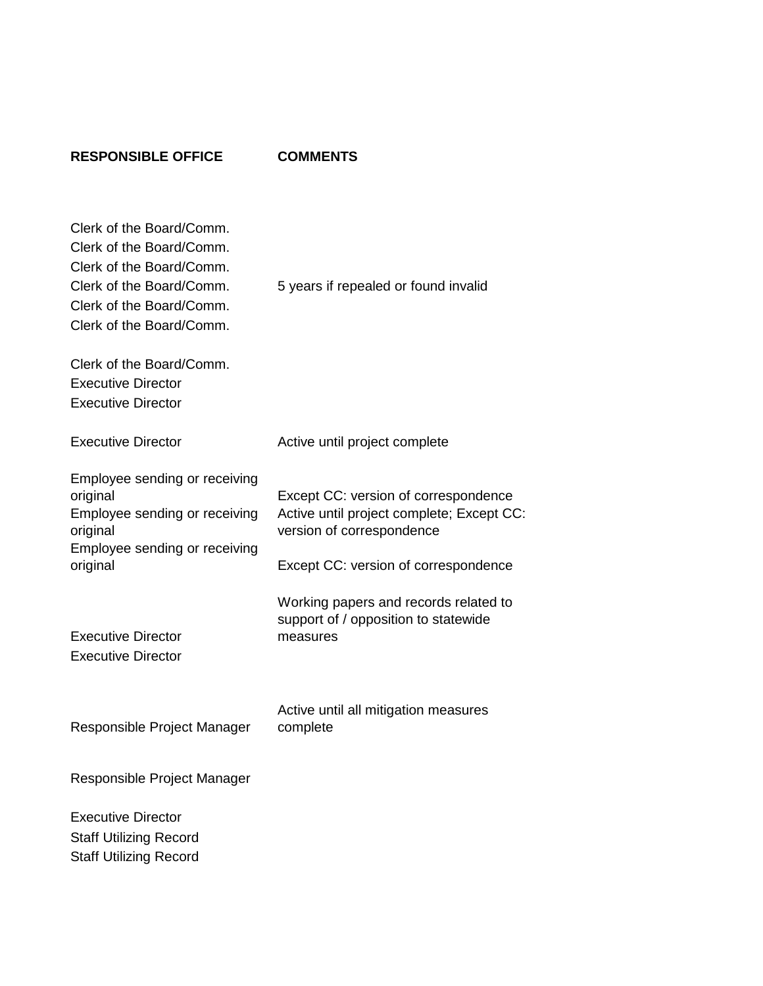## **RESPONSIBLE OFFICE COMMENTS**

| Clerk of the Board/Comm.<br>Clerk of the Board/Comm.<br>Clerk of the Board/Comm.<br>Clerk of the Board/Comm.<br>Clerk of the Board/Comm.<br>Clerk of the Board/Comm.<br>Clerk of the Board/Comm.<br><b>Executive Director</b><br><b>Executive Director</b> | 5 years if repealed or found invalid                                                                                                                   |
|------------------------------------------------------------------------------------------------------------------------------------------------------------------------------------------------------------------------------------------------------------|--------------------------------------------------------------------------------------------------------------------------------------------------------|
| <b>Executive Director</b>                                                                                                                                                                                                                                  | Active until project complete                                                                                                                          |
| Employee sending or receiving<br>original<br>Employee sending or receiving<br>original<br>Employee sending or receiving<br>original                                                                                                                        | Except CC: version of correspondence<br>Active until project complete; Except CC:<br>version of correspondence<br>Except CC: version of correspondence |
| <b>Executive Director</b><br><b>Executive Director</b>                                                                                                                                                                                                     | Working papers and records related to<br>support of / opposition to statewide<br>measures                                                              |
| Responsible Project Manager                                                                                                                                                                                                                                | Active until all mitigation measures<br>complete                                                                                                       |
| Responsible Project Manager                                                                                                                                                                                                                                |                                                                                                                                                        |
| <b>Executive Director</b><br><b>Staff Utilizing Record</b><br><b>Staff Utilizing Record</b>                                                                                                                                                                |                                                                                                                                                        |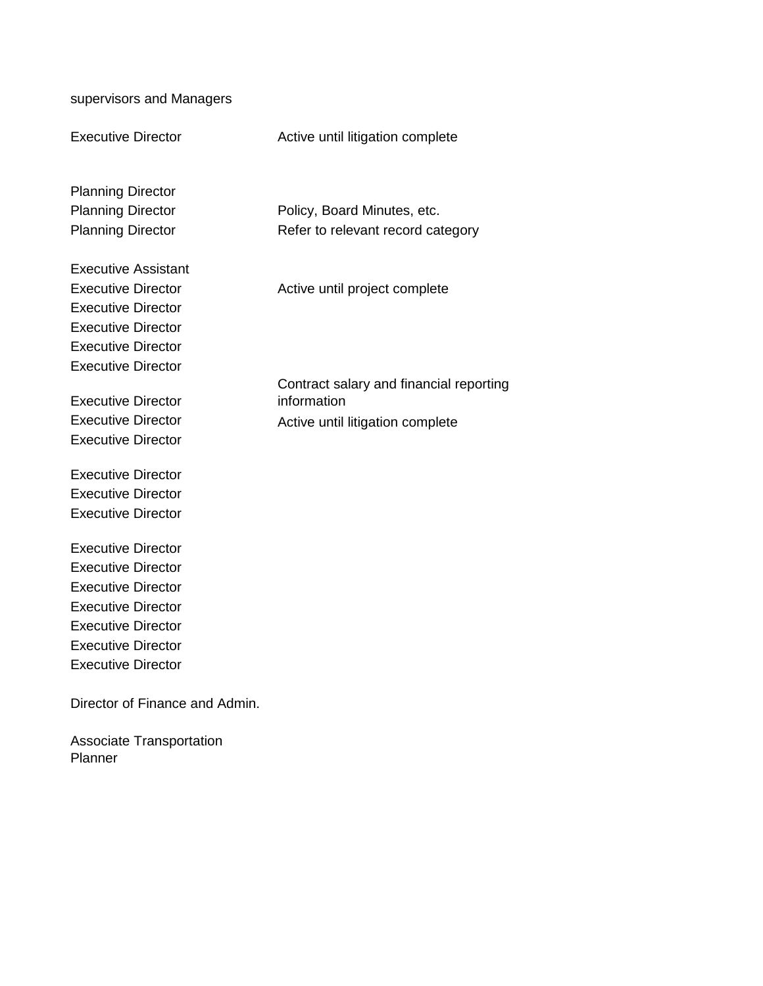supervisors and Managers

Executive Director **Active until litigation complete** 

Planning Director

Executive Assistant

Executive Director Executive Director Executive Director Executive Director

Executive Director

Executive Director

Planning Director **Policy, Board Minutes, etc.** Planning Director Refer to relevant record category

Executive Director **Active until project complete** 

Contract salary and financial reporting information Executive Director **Active until litigation complete** 

Executive Director Executive Director Executive Director

Executive Director Executive Director Executive Director Executive Director Executive Director Executive Director Executive Director

Director of Finance and Admin.

Associate Transportation Planner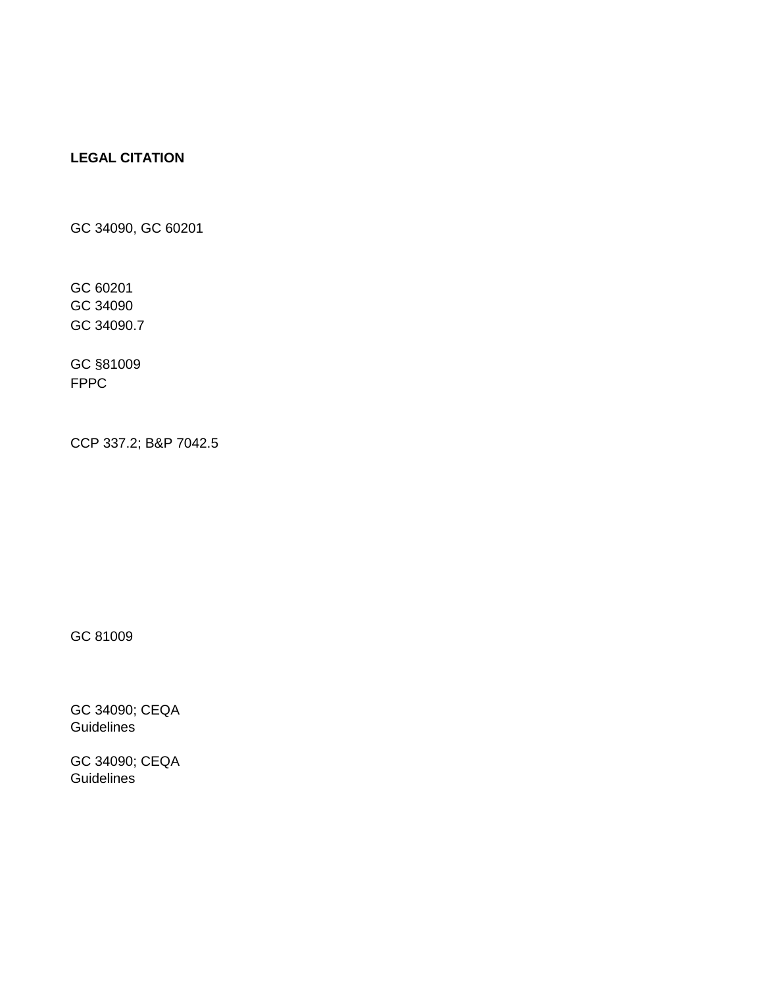## **LEGAL CITATION**

GC 34090, GC 60201

GC 60201 GC 34090 GC 34090.7

GC §81009 FPPC

CCP 337.2; B&P 7042.5

GC 81009

GC 34090; CEQA **Guidelines** 

GC 34090; CEQA **Guidelines**